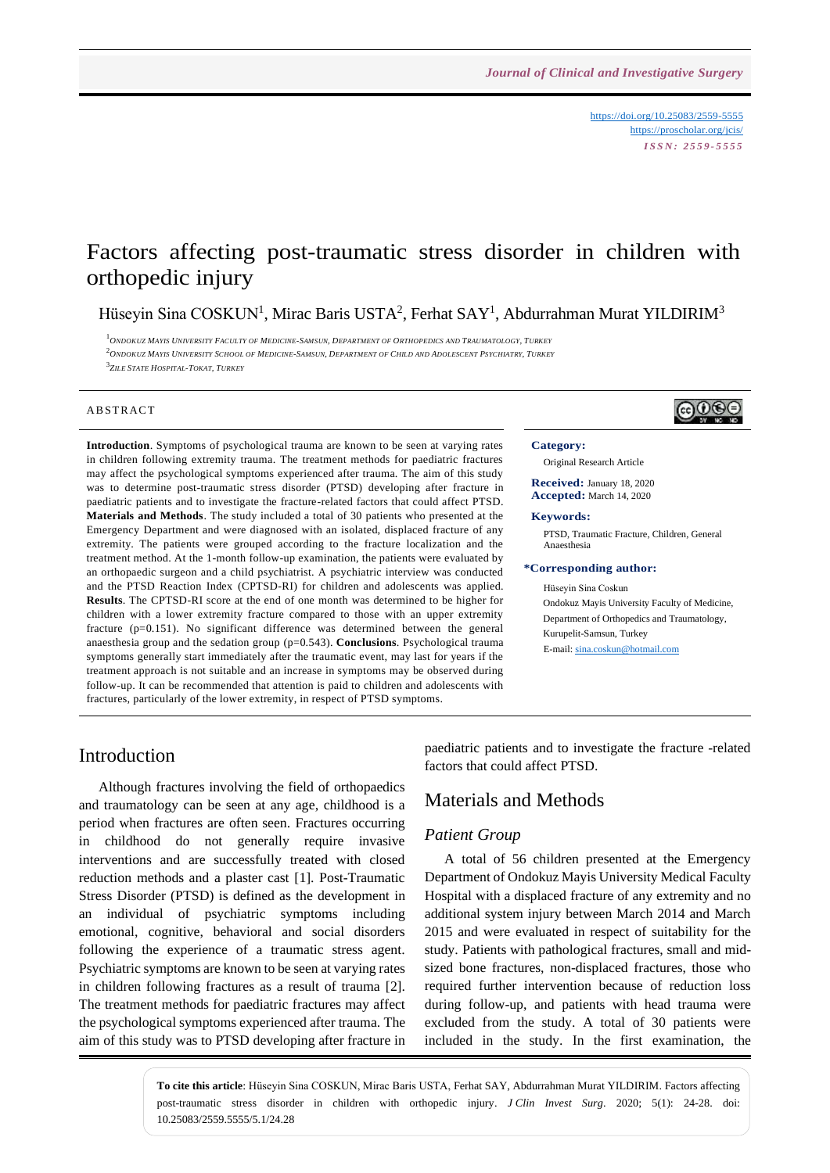<https://doi.org/10.25083/2559-5555> <https://proscholar.org/jcis/> *I S S N : 2 5 5 9 - 5 5 5 5*

# Factors affecting post-traumatic stress disorder in children with orthopedic injury

Hüseyin Sina COSKUN<sup>1</sup>, Mirac Baris USTA<sup>2</sup>, Ferhat SAY<sup>1</sup>, Abdurrahman Murat YILDIRIM<sup>3</sup>

<sup>1</sup>ONDOKUZ MAYIS UNIVERSITY FACULTY OF MEDICINE-SAMSUN. DEPARTMENT OF ORTHOPEDICS AND TRAUMATOLOGY. TURKEY  $2$ ONDOKUZ MAYIS UNIVERSITY SCHOOL OF MEDICINE-SAMSUN, DEPARTMENT OF CHILD AND ADOLESCENT PSYCHIATRY, TURKEY 3 *ZILE STATE HOSPITAL-TOKAT, TURKEY*

### **ABSTRACT**

**Introduction**. Symptoms of psychological trauma are known to be seen at varying rates in children following extremity trauma. The treatment methods for paediatric fractures may affect the psychological symptoms experienced after trauma. The aim of this study was to determine post-traumatic stress disorder (PTSD) developing after fracture in paediatric patients and to investigate the fracture-related factors that could affect PTSD. **Materials and Methods**. The study included a total of 30 patients who presented at the Emergency Department and were diagnosed with an isolated, displaced fracture of any extremity. The patients were grouped according to the fracture localization and the treatment method. At the 1-month follow-up examination, the patients were evaluated by an orthopaedic surgeon and a child psychiatrist. A psychiatric interview was conducted and the PTSD Reaction Index (CPTSD-RI) for children and adolescents was applied. **Results**. The CPTSD-RI score at the end of one month was determined to be higher for children with a lower extremity fracture compared to those with an upper extremity fracture (p=0.151). No significant difference was determined between the general anaesthesia group and the sedation group (p=0.543). **Conclusions**. Psychological trauma symptoms generally start immediately after the traumatic event, may last for years if the treatment approach is not suitable and an increase in symptoms may be observed during follow-up. It can be recommended that attention is paid to children and adolescents with fractures, particularly of the lower extremity, in respect of PTSD symptoms.



#### **Category:**

Original Research Article

**Received:** January 18, 2020 **Accepted:** March 14, 2020

### **Keywords:**

PTSD, Traumatic Fracture, Children, General Anaesthesia

### **\*Corresponding author:**

Hüseyin Sina Coskun Ondokuz Mayis University Faculty of Medicine, Department of Orthopedics and Traumatology, Kurupelit-Samsun, Turkey E-mail[: sina.coskun@hotmail.com](mailto:sina.coskun@hotmail.com)

# Introduction

Although fractures involving the field of orthopaedics and traumatology can be seen at any age, childhood is a period when fractures are often seen. Fractures occurring in childhood do not generally require invasive interventions and are successfully treated with closed reduction methods and a plaster cast [1]. Post-Traumatic Stress Disorder (PTSD) is defined as the development in an individual of psychiatric symptoms including emotional, cognitive, behavioral and social disorders following the experience of a traumatic stress agent. Psychiatric symptoms are known to be seen at varying rates in children following fractures as a result of trauma [2]. The treatment methods for paediatric fractures may affect the psychological symptoms experienced after trauma. The aim of this study was to PTSD developing after fracture in

paediatric patients and to investigate the fracture -related factors that could affect PTSD.

## Materials and Methods

### *Patient Group*

A total of 56 children presented at the Emergency Department of Ondokuz Mayis University Medical Faculty Hospital with a displaced fracture of any extremity and no additional system injury between March 2014 and March 2015 and were evaluated in respect of suitability for the study. Patients with pathological fractures, small and midsized bone fractures, non-displaced fractures, those who required further intervention because of reduction loss during follow-up, and patients with head trauma were excluded from the study. A total of 30 patients were included in the study. In the first examination, the

**To cite this article**: Hüseyin Sina COSKUN, Mirac Baris USTA, Ferhat SAY, Abdurrahman Murat YILDIRIM. Factors affecting post-traumatic stress disorder in children with orthopedic injury. *J Clin Invest Surg*. 2020; 5(1): 24-28. doi: 10.25083/2559.5555/5.1/24.28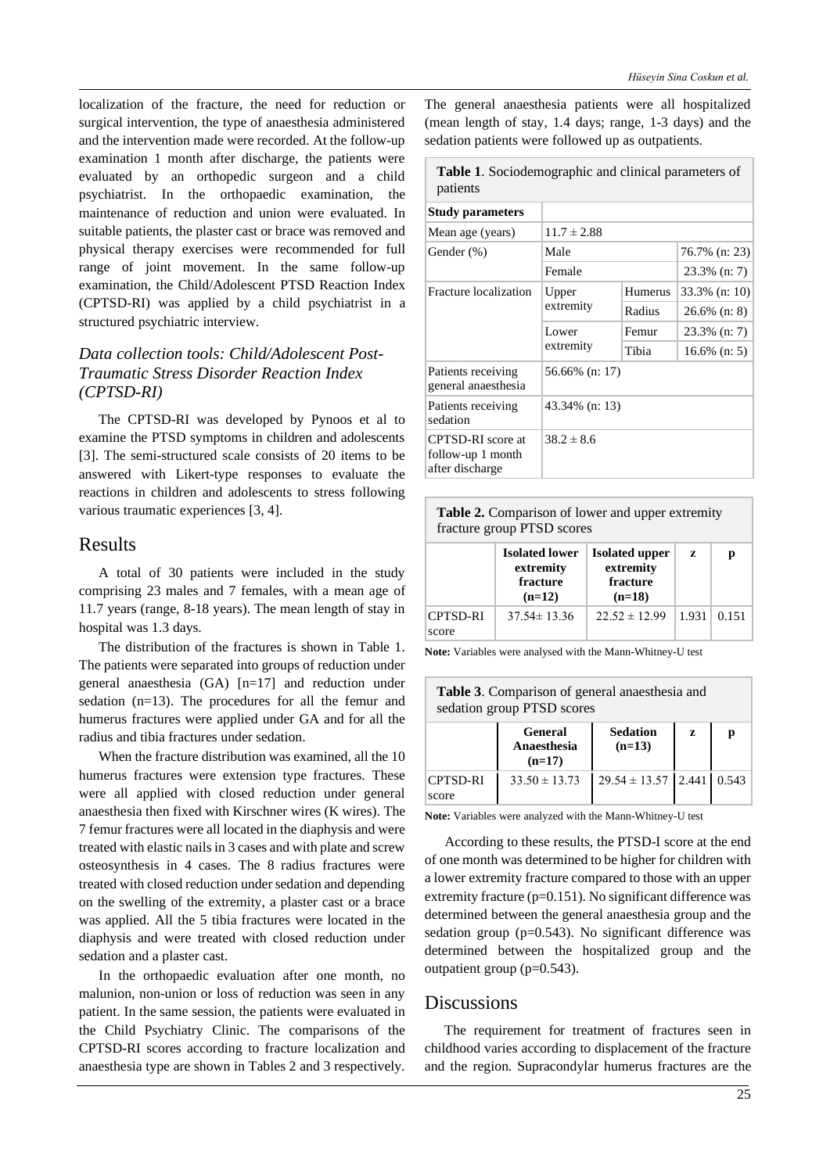localization of the fracture, the need for reduction or surgical intervention, the type of anaesthesia administered and the intervention made were recorded. At the follow-up examination 1 month after discharge, the patients were evaluated by an orthopedic surgeon and a child psychiatrist. In the orthopaedic examination, the maintenance of reduction and union were evaluated. In suitable patients, the plaster cast or brace was removed and physical therapy exercises were recommended for full range of joint movement. In the same follow-up examination, the Child/Adolescent PTSD Reaction Index (CPTSD-RI) was applied by a child psychiatrist in a structured psychiatric interview.

# *Data collection tools: Child/Adolescent Post-Traumatic Stress Disorder Reaction Index (CPTSD-RI)*

The CPTSD-RI was developed by Pynoos et al to examine the PTSD symptoms in children and adolescents [3]. The semi-structured scale consists of 20 items to be answered with Likert-type responses to evaluate the reactions in children and adolescents to stress following various traumatic experiences [3, 4].

# Results

A total of 30 patients were included in the study comprising 23 males and 7 females, with a mean age of 11.7 years (range, 8-18 years). The mean length of stay in hospital was 1.3 days.

The distribution of the fractures is shown in Table 1. The patients were separated into groups of reduction under general anaesthesia (GA) [n=17] and reduction under sedation (n=13). The procedures for all the femur and humerus fractures were applied under GA and for all the radius and tibia fractures under sedation.

When the fracture distribution was examined, all the 10 humerus fractures were extension type fractures. These were all applied with closed reduction under general anaesthesia then fixed with Kirschner wires (K wires). The 7 femur fractures were alllocated in the diaphysis and were treated with elastic nailsin 3 cases and with plate and screw osteosynthesis in 4 cases. The 8 radius fractures were treated with closed reduction undersedation and depending on the swelling of the extremity, a plaster cast or a brace was applied. All the 5 tibia fractures were located in the diaphysis and were treated with closed reduction under sedation and a plaster cast.

In the orthopaedic evaluation after one month, no malunion, non-union or loss of reduction was seen in any patient. In the same session, the patients were evaluated in the Child Psychiatry Clinic. The comparisons of the CPTSD-RI scores according to fracture localization and anaesthesia type are shown in Tables 2 and 3 respectively. The general anaesthesia patients were all hospitalized (mean length of stay, 1.4 days; range, 1-3 days) and the sedation patients were followed up as outpatients.

**Table 1**. Sociodemographic and clinical parameters of patients

| <b>Study parameters</b>                                   |                    |         |                 |  |
|-----------------------------------------------------------|--------------------|---------|-----------------|--|
| Mean age (years)                                          | $11.7 \pm 2.88$    |         |                 |  |
| Gender (%)                                                | Male               |         | 76.7% (n: 23)   |  |
|                                                           | Female             |         | 23.3% (n: 7)    |  |
| Fracture localization                                     | Upper<br>extremity | Humerus | 33.3% (n: 10)   |  |
|                                                           |                    | Radius  | $26.6\%$ (n: 8) |  |
|                                                           | Lower<br>extremity | Femur   | 23.3% (n: 7)    |  |
|                                                           |                    | Tibia   | $16.6\%$ (n: 5) |  |
| Patients receiving<br>general anaesthesia                 | 56.66% (n: 17)     |         |                 |  |
| Patients receiving<br>sedation                            | 43.34% (n: 13)     |         |                 |  |
| CPTSD-RI score at<br>follow-up 1 month<br>after discharge | $38.2 \pm 8.6$     |         |                 |  |

| <b>Table 2.</b> Comparison of lower and upper extremity<br>fracture group PTSD scores |                                                            |                                                            |       |       |  |  |  |
|---------------------------------------------------------------------------------------|------------------------------------------------------------|------------------------------------------------------------|-------|-------|--|--|--|
|                                                                                       | <b>Isolated lower</b><br>extremity<br>fracture<br>$(n=12)$ | <b>Isolated upper</b><br>extremity<br>fracture<br>$(n=18)$ | Z     | р     |  |  |  |
| <b>CPTSD-RI</b><br>score                                                              | $37.54 \pm 13.36$                                          | $22.52 \pm 12.99$                                          | 1.931 | 0.151 |  |  |  |

**Note:** Variables were analysed with the Mann-Whitney-U test

| <b>Table 3.</b> Comparison of general anaesthesia and<br>sedation group PTSD scores |                                           |                               |   |   |  |  |  |
|-------------------------------------------------------------------------------------|-------------------------------------------|-------------------------------|---|---|--|--|--|
|                                                                                     | <b>General</b><br>Anaesthesia<br>$(n=17)$ | <b>Sedation</b><br>$(n=13)$   | z | р |  |  |  |
| <b>CPTSD-RI</b><br>score                                                            | $33.50 \pm 13.73$                         | $29.54 \pm 13.57$ 2.441 0.543 |   |   |  |  |  |

**Note:** Variables were analyzed with the Mann-Whitney-U test

According to these results, the PTSD-I score at the end of one month was determined to be higher for children with a lower extremity fracture compared to those with an upper extremity fracture (p=0.151). No significant difference was determined between the general anaesthesia group and the sedation group ( $p=0.543$ ). No significant difference was determined between the hospitalized group and the outpatient group (p=0.543).

# **Discussions**

The requirement for treatment of fractures seen in childhood varies according to displacement of the fracture and the region. Supracondylar humerus fractures are the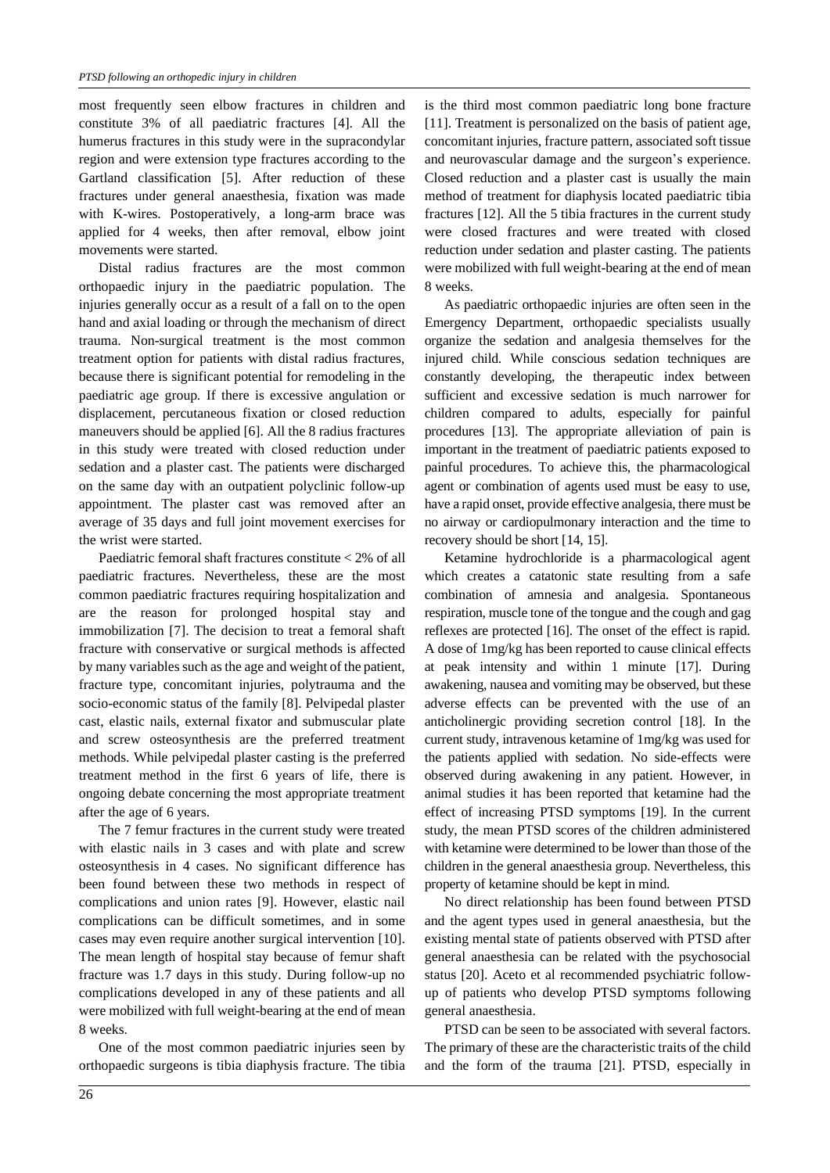most frequently seen elbow fractures in children and constitute 3% of all paediatric fractures [4]. All the humerus fractures in this study were in the supracondylar region and were extension type fractures according to the Gartland classification [5]. After reduction of these fractures under general anaesthesia, fixation was made with K-wires. Postoperatively, a long-arm brace was applied for 4 weeks, then after removal, elbow joint movements were started.

Distal radius fractures are the most common orthopaedic injury in the paediatric population. The injuries generally occur as a result of a fall on to the open hand and axial loading or through the mechanism of direct trauma. Non-surgical treatment is the most common treatment option for patients with distal radius fractures, because there is significant potential for remodeling in the paediatric age group. If there is excessive angulation or displacement, percutaneous fixation or closed reduction maneuvers should be applied [6]. All the 8 radius fractures in this study were treated with closed reduction under sedation and a plaster cast. The patients were discharged on the same day with an outpatient polyclinic follow-up appointment. The plaster cast was removed after an average of 35 days and full joint movement exercises for the wrist were started.

Paediatric femoral shaft fractures constitute < 2% of all paediatric fractures. Nevertheless, these are the most common paediatric fractures requiring hospitalization and are the reason for prolonged hospital stay and immobilization [7]. The decision to treat a femoral shaft fracture with conservative or surgical methods is affected by many variables such asthe age and weight of the patient, fracture type, concomitant injuries, polytrauma and the socio-economic status of the family [8]. Pelvipedal plaster cast, elastic nails, external fixator and submuscular plate and screw osteosynthesis are the preferred treatment methods. While pelvipedal plaster casting is the preferred treatment method in the first 6 years of life, there is ongoing debate concerning the most appropriate treatment after the age of 6 years.

The 7 femur fractures in the current study were treated with elastic nails in 3 cases and with plate and screw osteosynthesis in 4 cases. No significant difference has been found between these two methods in respect of complications and union rates [9]. However, elastic nail complications can be difficult sometimes, and in some cases may even require another surgical intervention [10]. The mean length of hospital stay because of femur shaft fracture was 1.7 days in this study. During follow-up no complications developed in any of these patients and all were mobilized with full weight-bearing at the end of mean 8 weeks.

One of the most common paediatric injuries seen by orthopaedic surgeons is tibia diaphysis fracture. The tibia is the third most common paediatric long bone fracture [11]. Treatment is personalized on the basis of patient age, concomitant injuries, fracture pattern, associated soft tissue and neurovascular damage and the surgeon's experience. Closed reduction and a plaster cast is usually the main method of treatment for diaphysis located paediatric tibia fractures [12]. All the 5 tibia fractures in the current study were closed fractures and were treated with closed reduction under sedation and plaster casting. The patients were mobilized with full weight-bearing at the end of mean 8 weeks.

As paediatric orthopaedic injuries are often seen in the Emergency Department, orthopaedic specialists usually organize the sedation and analgesia themselves for the injured child. While conscious sedation techniques are constantly developing, the therapeutic index between sufficient and excessive sedation is much narrower for children compared to adults, especially for painful procedures [13]. The appropriate alleviation of pain is important in the treatment of paediatric patients exposed to painful procedures. To achieve this, the pharmacological agent or combination of agents used must be easy to use, have a rapid onset, provide effective analgesia, there must be no airway or cardiopulmonary interaction and the time to recovery should be short [14, 15].

Ketamine hydrochloride is a pharmacological agent which creates a catatonic state resulting from a safe combination of amnesia and analgesia. Spontaneous respiration, muscle tone of the tongue and the cough and gag reflexes are protected [16]. The onset of the effect is rapid. A dose of 1mg/kg has been reported to cause clinical effects at peak intensity and within 1 minute [17]. During awakening, nausea and vomiting may be observed, but these adverse effects can be prevented with the use of an anticholinergic providing secretion control [18]. In the current study, intravenous ketamine of 1mg/kg was used for the patients applied with sedation. No side-effects were observed during awakening in any patient. However, in animal studies it has been reported that ketamine had the effect of increasing PTSD symptoms [19]. In the current study, the mean PTSD scores of the children administered with ketamine were determined to be lower than those of the children in the general anaesthesia group. Nevertheless, this property of ketamine should be kept in mind.

No direct relationship has been found between PTSD and the agent types used in general anaesthesia, but the existing mental state of patients observed with PTSD after general anaesthesia can be related with the psychosocial status [20]. Aceto et al recommended psychiatric followup of patients who develop PTSD symptoms following general anaesthesia.

PTSD can be seen to be associated with several factors. The primary of these are the characteristic traits of the child and the form of the trauma [21]. PTSD, especially in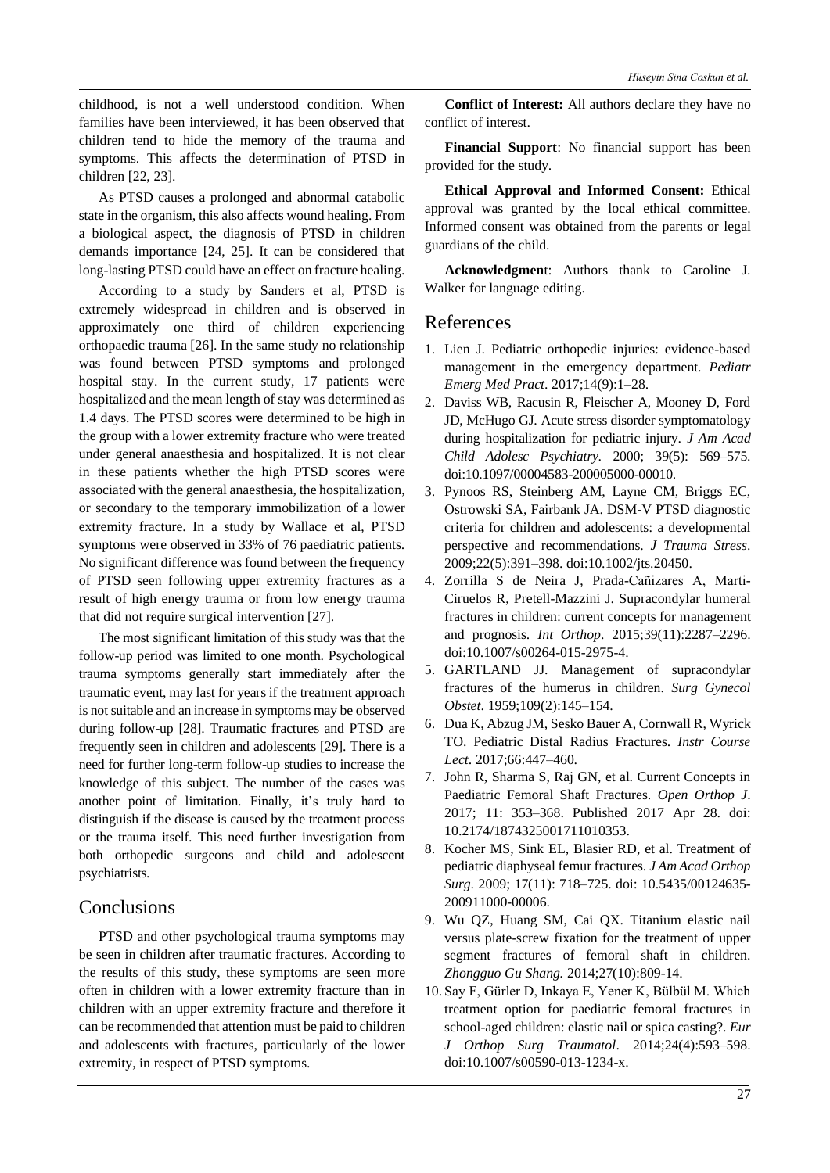childhood, is not a well understood condition. When families have been interviewed, it has been observed that children tend to hide the memory of the trauma and symptoms. This affects the determination of PTSD in children [22, 23].

As PTSD causes a prolonged and abnormal catabolic state in the organism, this also affects wound healing. From a biological aspect, the diagnosis of PTSD in children demands importance [24, 25]. It can be considered that long-lasting PTSD could have an effect on fracture healing.

According to a study by Sanders et al, PTSD is extremely widespread in children and is observed in approximately one third of children experiencing orthopaedic trauma [26]. In the same study no relationship was found between PTSD symptoms and prolonged hospital stay. In the current study, 17 patients were hospitalized and the mean length of stay was determined as 1.4 days. The PTSD scores were determined to be high in the group with a lower extremity fracture who were treated under general anaesthesia and hospitalized. It is not clear in these patients whether the high PTSD scores were associated with the general anaesthesia, the hospitalization, or secondary to the temporary immobilization of a lower extremity fracture. In a study by Wallace et al, PTSD symptoms were observed in 33% of 76 paediatric patients. No significant difference was found between the frequency of PTSD seen following upper extremity fractures as a result of high energy trauma or from low energy trauma that did not require surgical intervention [27].

The most significant limitation of this study was that the follow-up period was limited to one month. Psychological trauma symptoms generally start immediately after the traumatic event, may last for years if the treatment approach is not suitable and an increase in symptoms may be observed during follow-up [28]. Traumatic fractures and PTSD are frequently seen in children and adolescents [29]. There is a need for further long-term follow-up studies to increase the knowledge of this subject. The number of the cases was another point of limitation. Finally, it's truly hard to distinguish if the disease is caused by the treatment process or the trauma itself. This need further investigation from both orthopedic surgeons and child and adolescent psychiatrists.

# **Conclusions**

PTSD and other psychological trauma symptoms may be seen in children after traumatic fractures. According to the results of this study, these symptoms are seen more often in children with a lower extremity fracture than in children with an upper extremity fracture and therefore it can be recommended that attention must be paid to children and adolescents with fractures, particularly of the lower extremity, in respect of PTSD symptoms.

**Conflict of Interest:** All authors declare they have no conflict of interest.

**Financial Support**: No financial support has been provided for the study.

**Ethical Approval and Informed Consent:** Ethical approval was granted by the local ethical committee. Informed consent was obtained from the parents or legal guardians of the child.

**Acknowledgmen**t: Authors thank to Caroline J. Walker for language editing.

# References

- 1. Lien J. Pediatric orthopedic injuries: evidence-based management in the emergency department. *Pediatr Emerg Med Pract*. 2017;14(9):1–28.
- 2. Daviss WB, Racusin R, Fleischer A, Mooney D, Ford JD, McHugo GJ. Acute stress disorder symptomatology during hospitalization for pediatric injury. *J Am Acad Child Adolesc Psychiatry*. 2000; 39(5): 569–575. doi:10.1097/00004583-200005000-00010.
- 3. Pynoos RS, Steinberg AM, Layne CM, Briggs EC, Ostrowski SA, Fairbank JA. DSM-V PTSD diagnostic criteria for children and adolescents: a developmental perspective and recommendations. *J Trauma Stress*. 2009;22(5):391–398. doi:10.1002/jts.20450.
- 4. Zorrilla S de Neira J, Prada-Cañizares A, Marti-Ciruelos R, Pretell-Mazzini J. Supracondylar humeral fractures in children: current concepts for management and prognosis. *Int Orthop*. 2015;39(11):2287–2296. doi:10.1007/s00264-015-2975-4.
- 5. GARTLAND JJ. Management of supracondylar fractures of the humerus in children. *Surg Gynecol Obstet*. 1959;109(2):145–154.
- 6. Dua K, Abzug JM, Sesko Bauer A, Cornwall R, Wyrick TO. Pediatric Distal Radius Fractures. *Instr Course Lect*. 2017;66:447–460.
- 7. John R, Sharma S, Raj GN, et al. Current Concepts in Paediatric Femoral Shaft Fractures. *Open Orthop J*. 2017; 11: 353–368. Published 2017 Apr 28. doi: 10.2174/1874325001711010353.
- 8. Kocher MS, Sink EL, Blasier RD, et al. Treatment of pediatric diaphyseal femur fractures. *J Am Acad Orthop Surg*. 2009; 17(11): 718–725. doi: 10.5435/00124635- 200911000-00006.
- 9. Wu QZ, Huang SM, Cai QX. Titanium elastic nail versus plate-screw fixation for the treatment of upper segment fractures of femoral shaft in children. *Zhongguo Gu Shang.* 2014;27(10):809-14.
- 10.Say F, Gürler D, Inkaya E, Yener K, Bülbül M. Which treatment option for paediatric femoral fractures in school-aged children: elastic nail or spica casting?. *Eur J Orthop Surg Traumatol*. 2014;24(4):593–598. doi:10.1007/s00590-013-1234-x.